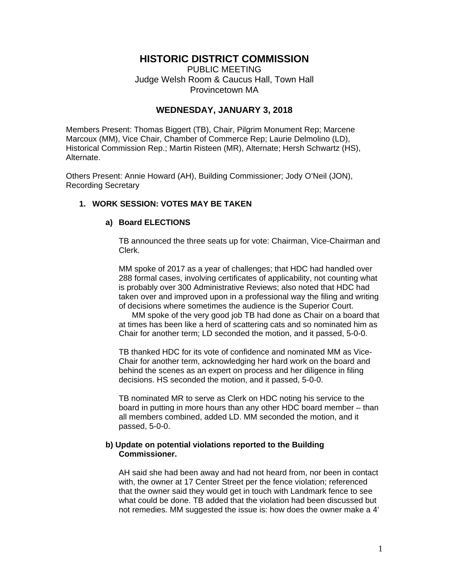# **HISTORIC DISTRICT COMMISSION**

PUBLIC MEETING Judge Welsh Room & Caucus Hall, Town Hall Provincetown MA

## **WEDNESDAY, JANUARY 3, 2018**

Members Present: Thomas Biggert (TB), Chair, Pilgrim Monument Rep; Marcene Marcoux (MM), Vice Chair, Chamber of Commerce Rep; Laurie Delmolino (LD), Historical Commission Rep.; Martin Risteen (MR), Alternate; Hersh Schwartz (HS), Alternate.

Others Present: Annie Howard (AH), Building Commissioner; Jody O'Neil (JON), Recording Secretary

## **1. WORK SESSION: VOTES MAY BE TAKEN**

### **a) Board ELECTIONS**

TB announced the three seats up for vote: Chairman, Vice-Chairman and Clerk.

 MM spoke of 2017 as a year of challenges; that HDC had handled over 288 formal cases, involving certificates of applicability, not counting what is probably over 300 Administrative Reviews; also noted that HDC had taken over and improved upon in a professional way the filing and writing of decisions where sometimes the audience is the Superior Court.

 MM spoke of the very good job TB had done as Chair on a board that at times has been like a herd of scattering cats and so nominated him as Chair for another term; LD seconded the motion, and it passed, 5-0-0.

 TB thanked HDC for its vote of confidence and nominated MM as Vice-Chair for another term, acknowledging her hard work on the board and behind the scenes as an expert on process and her diligence in filing decisions. HS seconded the motion, and it passed, 5-0-0.

 TB nominated MR to serve as Clerk on HDC noting his service to the board in putting in more hours than any other HDC board member – than all members combined, added LD. MM seconded the motion, and it passed, 5-0-0.

### **b) Update on potential violations reported to the Building Commissioner.**

 AH said she had been away and had not heard from, nor been in contact with, the owner at 17 Center Street per the fence violation; referenced that the owner said they would get in touch with Landmark fence to see what could be done. TB added that the violation had been discussed but not remedies. MM suggested the issue is: how does the owner make a 4'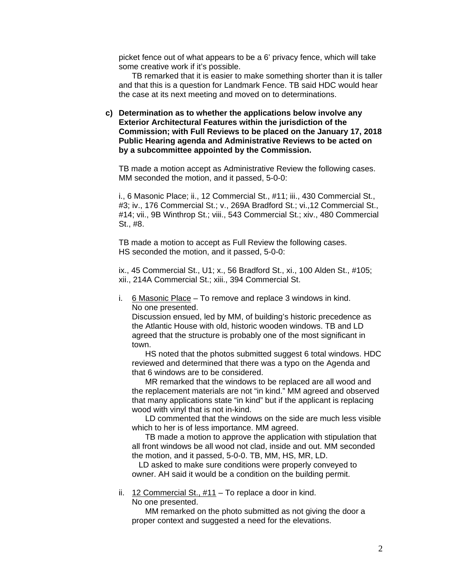picket fence out of what appears to be a 6' privacy fence, which will take some creative work if it's possible.

 TB remarked that it is easier to make something shorter than it is taller and that this is a question for Landmark Fence. TB said HDC would hear the case at its next meeting and moved on to determinations.

**c) Determination as to whether the applications below involve any Exterior Architectural Features within the jurisdiction of the Commission; with Full Reviews to be placed on the January 17, 2018 Public Hearing agenda and Administrative Reviews to be acted on by a subcommittee appointed by the Commission.** 

TB made a motion accept as Administrative Review the following cases. MM seconded the motion, and it passed, 5-0-0:

 i., 6 Masonic Place; ii., 12 Commercial St., #11; iii., 430 Commercial St., #3; iv., 176 Commercial St.; v., 269A Bradford St.; vi.,12 Commercial St., #14; vii., 9B Winthrop St.; viii., 543 Commercial St.; xiv., 480 Commercial St., #8.

 TB made a motion to accept as Full Review the following cases. HS seconded the motion, and it passed, 5-0-0:

 ix., 45 Commercial St., U1; x., 56 Bradford St., xi., 100 Alden St., #105; xii., 214A Commercial St.; xiii., 394 Commercial St.

i. 6 Masonic Place - To remove and replace 3 windows in kind. No one presented.

 Discussion ensued, led by MM, of building's historic precedence as the Atlantic House with old, historic wooden windows. TB and LD agreed that the structure is probably one of the most significant in town.

 HS noted that the photos submitted suggest 6 total windows. HDC reviewed and determined that there was a typo on the Agenda and that 6 windows are to be considered.

 MR remarked that the windows to be replaced are all wood and the replacement materials are not "in kind." MM agreed and observed that many applications state "in kind" but if the applicant is replacing wood with vinyl that is not in-kind.

 LD commented that the windows on the side are much less visible which to her is of less importance. MM agreed.

 TB made a motion to approve the application with stipulation that all front windows be all wood not clad, inside and out. MM seconded the motion, and it passed, 5-0-0. TB, MM, HS, MR, LD.

 LD asked to make sure conditions were properly conveyed to owner. AH said it would be a condition on the building permit.

ii. 12 Commercial St., #11 – To replace a door in kind.

No one presented.

 MM remarked on the photo submitted as not giving the door a proper context and suggested a need for the elevations.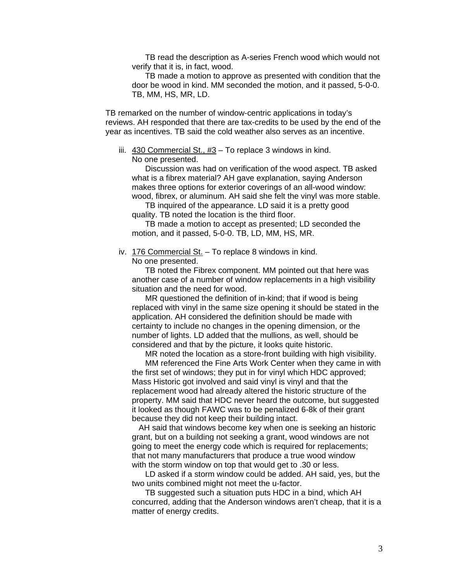TB read the description as A-series French wood which would not verify that it is, in fact, wood.

 TB made a motion to approve as presented with condition that the door be wood in kind. MM seconded the motion, and it passed, 5-0-0. TB, MM, HS, MR, LD.

TB remarked on the number of window-centric applications in today's reviews. AH responded that there are tax-credits to be used by the end of the year as incentives. TB said the cold weather also serves as an incentive.

 iii. 430 Commercial St., #3 – To replace 3 windows in kind. No one presented.

 Discussion was had on verification of the wood aspect. TB asked what is a fibrex material? AH gave explanation, saying Anderson makes three options for exterior coverings of an all-wood window: wood, fibrex, or aluminum. AH said she felt the vinyl was more stable.

 TB inquired of the appearance. LD said it is a pretty good quality. TB noted the location is the third floor.

 TB made a motion to accept as presented; LD seconded the motion, and it passed, 5-0-0. TB, LD, MM, HS, MR.

iv. 176 Commercial St. – To replace 8 windows in kind.

No one presented.

 TB noted the Fibrex component. MM pointed out that here was another case of a number of window replacements in a high visibility situation and the need for wood.

 MR questioned the definition of in-kind; that if wood is being replaced with vinyl in the same size opening it should be stated in the application. AH considered the definition should be made with certainty to include no changes in the opening dimension, or the number of lights. LD added that the mullions, as well, should be considered and that by the picture, it looks quite historic.

MR noted the location as a store-front building with high visibility.

 MM referenced the Fine Arts Work Center when they came in with the first set of windows; they put in for vinyl which HDC approved; Mass Historic got involved and said vinyl is vinyl and that the replacement wood had already altered the historic structure of the property. MM said that HDC never heard the outcome, but suggested it looked as though FAWC was to be penalized 6-8k of their grant because they did not keep their building intact.

 AH said that windows become key when one is seeking an historic grant, but on a building not seeking a grant, wood windows are not going to meet the energy code which is required for replacements; that not many manufacturers that produce a true wood window with the storm window on top that would get to .30 or less.

 LD asked if a storm window could be added. AH said, yes, but the two units combined might not meet the u-factor.

 TB suggested such a situation puts HDC in a bind, which AH concurred, adding that the Anderson windows aren't cheap, that it is a matter of energy credits.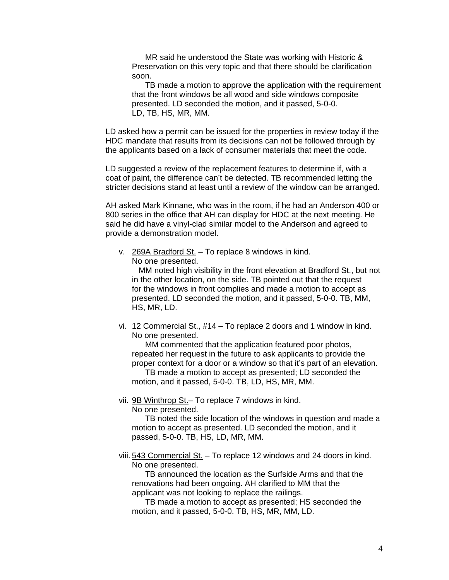MR said he understood the State was working with Historic & Preservation on this very topic and that there should be clarification soon.

 TB made a motion to approve the application with the requirement that the front windows be all wood and side windows composite presented. LD seconded the motion, and it passed, 5-0-0. LD, TB, HS, MR, MM.

LD asked how a permit can be issued for the properties in review today if the HDC mandate that results from its decisions can not be followed through by the applicants based on a lack of consumer materials that meet the code.

LD suggested a review of the replacement features to determine if, with a coat of paint, the difference can't be detected. TB recommended letting the stricter decisions stand at least until a review of the window can be arranged.

AH asked Mark Kinnane, who was in the room, if he had an Anderson 400 or 800 series in the office that AH can display for HDC at the next meeting. He said he did have a vinyl-clad similar model to the Anderson and agreed to provide a demonstration model.

 v. 269A Bradford St. – To replace 8 windows in kind. No one presented.

 MM noted high visibility in the front elevation at Bradford St., but not in the other location, on the side. TB pointed out that the request for the windows in front complies and made a motion to accept as presented. LD seconded the motion, and it passed, 5-0-0. TB, MM, HS, MR, LD.

 vi. 12 Commercial St., #14 – To replace 2 doors and 1 window in kind. No one presented.

 MM commented that the application featured poor photos, repeated her request in the future to ask applicants to provide the proper context for a door or a window so that it's part of an elevation.

 TB made a motion to accept as presented; LD seconded the motion, and it passed, 5-0-0. TB, LD, HS, MR, MM.

vii. 9B Winthrop St.– To replace 7 windows in kind.

No one presented.

 TB noted the side location of the windows in question and made a motion to accept as presented. LD seconded the motion, and it passed, 5-0-0. TB, HS, LD, MR, MM.

viii. 543 Commercial St. - To replace 12 windows and 24 doors in kind. No one presented.

 TB announced the location as the Surfside Arms and that the renovations had been ongoing. AH clarified to MM that the applicant was not looking to replace the railings.

 TB made a motion to accept as presented; HS seconded the motion, and it passed, 5-0-0. TB, HS, MR, MM, LD.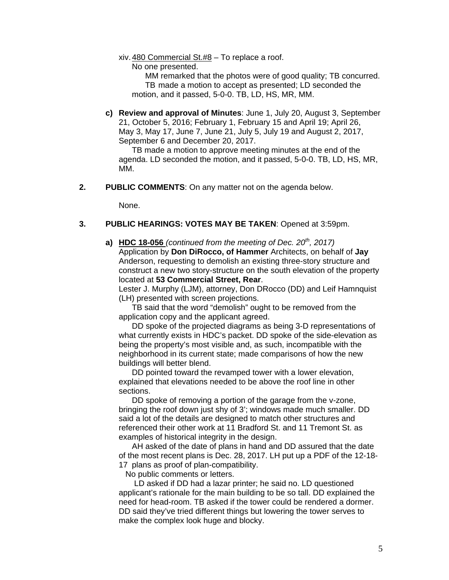#### xiv. 480 Commercial St.#8 – To replace a roof.

No one presented.

 MM remarked that the photos were of good quality; TB concurred. TB made a motion to accept as presented; LD seconded the motion, and it passed, 5-0-0. TB, LD, HS, MR, MM.

**c) Review and approval of Minutes**: June 1, July 20, August 3, September 21, October 5, 2016; February 1, February 15 and April 19; April 26, May 3, May 17, June 7, June 21, July 5, July 19 and August 2, 2017, September 6 and December 20, 2017.

 TB made a motion to approve meeting minutes at the end of the agenda. LD seconded the motion, and it passed, 5-0-0. TB, LD, HS, MR, MM.

**2. PUBLIC COMMENTS**: On any matter not on the agenda below.

None.

## **3. PUBLIC HEARINGS: VOTES MAY BE TAKEN**: Opened at 3:59pm.

**a) HDC 18-056** *(continued from the meeting of Dec. 20th, 2017)* 

Application by **Don DiRocco, of Hammer** Architects, on behalf of **Jay**  Anderson, requesting to demolish an existing three-story structure and construct a new two story-structure on the south elevation of the property located at **53 Commercial Street, Rear**.

 Lester J. Murphy (LJM), attorney, Don DRocco (DD) and Leif Hamnquist (LH) presented with screen projections.

 TB said that the word "demolish" ought to be removed from the application copy and the applicant agreed.

 DD spoke of the projected diagrams as being 3-D representations of what currently exists in HDC's packet. DD spoke of the side-elevation as being the property's most visible and, as such, incompatible with the neighborhood in its current state; made comparisons of how the new buildings will better blend.

 DD pointed toward the revamped tower with a lower elevation, explained that elevations needed to be above the roof line in other sections.

 DD spoke of removing a portion of the garage from the v-zone, bringing the roof down just shy of 3'; windows made much smaller. DD said a lot of the details are designed to match other structures and referenced their other work at 11 Bradford St. and 11 Tremont St. as examples of historical integrity in the design.

 AH asked of the date of plans in hand and DD assured that the date of the most recent plans is Dec. 28, 2017. LH put up a PDF of the 12-18- 17 plans as proof of plan-compatibility.

No public comments or letters.

 LD asked if DD had a lazar printer; he said no. LD questioned applicant's rationale for the main building to be so tall. DD explained the need for head-room. TB asked if the tower could be rendered a dormer. DD said they've tried different things but lowering the tower serves to make the complex look huge and blocky.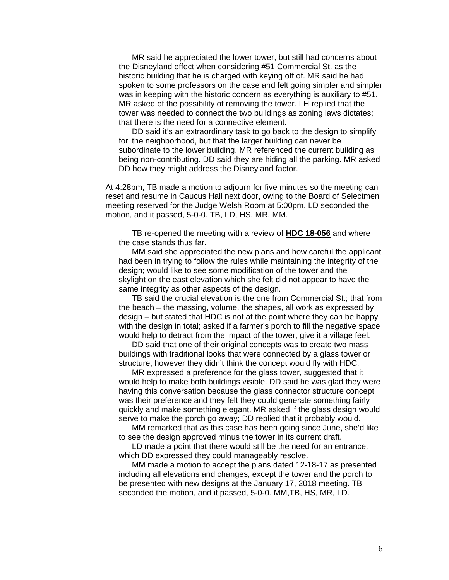MR said he appreciated the lower tower, but still had concerns about the Disneyland effect when considering #51 Commercial St. as the historic building that he is charged with keying off of. MR said he had spoken to some professors on the case and felt going simpler and simpler was in keeping with the historic concern as everything is auxiliary to #51. MR asked of the possibility of removing the tower. LH replied that the tower was needed to connect the two buildings as zoning laws dictates; that there is the need for a connective element.

 DD said it's an extraordinary task to go back to the design to simplify for the neighborhood, but that the larger building can never be subordinate to the lower building. MR referenced the current building as being non-contributing. DD said they are hiding all the parking. MR asked DD how they might address the Disneyland factor.

At 4:28pm, TB made a motion to adjourn for five minutes so the meeting can reset and resume in Caucus Hall next door, owing to the Board of Selectmen meeting reserved for the Judge Welsh Room at 5:00pm. LD seconded the motion, and it passed, 5-0-0. TB, LD, HS, MR, MM.

 TB re-opened the meeting with a review of **HDC 18-056** and where the case stands thus far.

 MM said she appreciated the new plans and how careful the applicant had been in trying to follow the rules while maintaining the integrity of the design; would like to see some modification of the tower and the skylight on the east elevation which she felt did not appear to have the same integrity as other aspects of the design.

 TB said the crucial elevation is the one from Commercial St.; that from the beach – the massing, volume, the shapes, all work as expressed by design – but stated that HDC is not at the point where they can be happy with the design in total; asked if a farmer's porch to fill the negative space would help to detract from the impact of the tower, give it a village feel.

 DD said that one of their original concepts was to create two mass buildings with traditional looks that were connected by a glass tower or structure, however they didn't think the concept would fly with HDC.

 MR expressed a preference for the glass tower, suggested that it would help to make both buildings visible. DD said he was glad they were having this conversation because the glass connector structure concept was their preference and they felt they could generate something fairly quickly and make something elegant. MR asked if the glass design would serve to make the porch go away; DD replied that it probably would.

 MM remarked that as this case has been going since June, she'd like to see the design approved minus the tower in its current draft.

 LD made a point that there would still be the need for an entrance, which DD expressed they could manageably resolve.

 MM made a motion to accept the plans dated 12-18-17 as presented including all elevations and changes, except the tower and the porch to be presented with new designs at the January 17, 2018 meeting. TB seconded the motion, and it passed, 5-0-0. MM,TB, HS, MR, LD.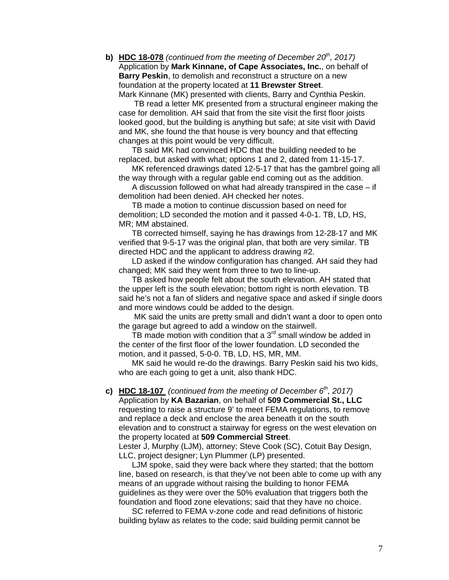**b) HDC 18-078** *(continued from the meeting of December 20th, 2017)*  Application by **Mark Kinnane, of Cape Associates, Inc.**, on behalf of **Barry Peskin**, to demolish and reconstruct a structure on a new foundation at the property located at **11 Brewster Street**. Mark Kinnane (MK) presented with clients, Barry and Cynthia Peskin.

 TB read a letter MK presented from a structural engineer making the case for demolition. AH said that from the site visit the first floor joists looked good, but the building is anything but safe; at site visit with David and MK, she found the that house is very bouncy and that effecting changes at this point would be very difficult.

 TB said MK had convinced HDC that the building needed to be replaced, but asked with what; options 1 and 2, dated from 11-15-17.

 MK referenced drawings dated 12-5-17 that has the gambrel going all the way through with a regular gable end coming out as the addition.

 A discussion followed on what had already transpired in the case – if demolition had been denied. AH checked her notes.

 TB made a motion to continue discussion based on need for demolition; LD seconded the motion and it passed 4-0-1. TB, LD, HS, MR; MM abstained.

 TB corrected himself, saying he has drawings from 12-28-17 and MK verified that 9-5-17 was the original plan, that both are very similar. TB directed HDC and the applicant to address drawing #2.

 LD asked if the window configuration has changed. AH said they had changed; MK said they went from three to two to line-up.

 TB asked how people felt about the south elevation. AH stated that the upper left is the south elevation; bottom right is north elevation. TB said he's not a fan of sliders and negative space and asked if single doors and more windows could be added to the design.

 MK said the units are pretty small and didn't want a door to open onto the garage but agreed to add a window on the stairwell.

TB made motion with condition that a  $3<sup>rd</sup>$  small window be added in the center of the first floor of the lower foundation. LD seconded the motion, and it passed, 5-0-0. TB, LD, HS, MR, MM.

 MK said he would re-do the drawings. Barry Peskin said his two kids, who are each going to get a unit, also thank HDC.

#### **c) HDC 18-107** *(continued from the meeting of December 6th, 2017)*  Application by **KA Bazarian**, on behalf of **509 Commercial St., LLC** requesting to raise a structure 9' to meet FEMA regulations, to remove

 and replace a deck and enclose the area beneath it on the south elevation and to construct a stairway for egress on the west elevation on the property located at **509 Commercial Street**.

 Lester J, Murphy (LJM), attorney; Steve Cook (SC), Cotuit Bay Design, LLC, project designer; Lyn Plummer (LP) presented.

 LJM spoke, said they were back where they started; that the bottom line, based on research, is that they've not been able to come up with any means of an upgrade without raising the building to honor FEMA guidelines as they were over the 50% evaluation that triggers both the foundation and flood zone elevations; said that they have no choice.

 SC referred to FEMA v-zone code and read definitions of historic building bylaw as relates to the code; said building permit cannot be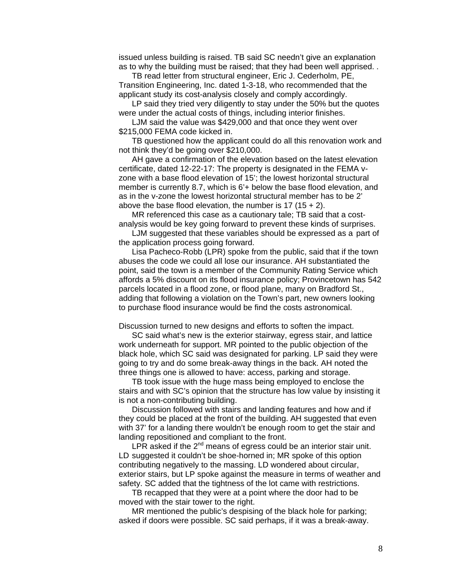issued unless building is raised. TB said SC needn't give an explanation as to why the building must be raised; that they had been well apprised. .

 TB read letter from structural engineer, Eric J. Cederholm, PE, Transition Engineering, Inc. dated 1-3-18, who recommended that the applicant study its cost-analysis closely and comply accordingly.

LP said they tried very diligently to stay under the 50% but the quotes were under the actual costs of things, including interior finishes.

 LJM said the value was \$429,000 and that once they went over \$215,000 FEMA code kicked in.

 TB questioned how the applicant could do all this renovation work and not think they'd be going over \$210,000.

 AH gave a confirmation of the elevation based on the latest elevation certificate, dated 12-22-17: The property is designated in the FEMA v zone with a base flood elevation of 15'; the lowest horizontal structural member is currently 8.7, which is 6'+ below the base flood elevation, and as in the v-zone the lowest horizontal structural member has to be 2' above the base flood elevation, the number is  $17 (15 + 2)$ .

 MR referenced this case as a cautionary tale; TB said that a cost analysis would be key going forward to prevent these kinds of surprises.

 LJM suggested that these variables should be expressed as a part of the application process going forward.

 Lisa Pacheco-Robb (LPR) spoke from the public, said that if the town abuses the code we could all lose our insurance. AH substantiated the point, said the town is a member of the Community Rating Service which affords a 5% discount on its flood insurance policy; Provincetown has 542 parcels located in a flood zone, or flood plane, many on Bradford St., adding that following a violation on the Town's part, new owners looking to purchase flood insurance would be find the costs astronomical.

Discussion turned to new designs and efforts to soften the impact.

 SC said what's new is the exterior stairway, egress stair, and lattice work underneath for support. MR pointed to the public objection of the black hole, which SC said was designated for parking. LP said they were going to try and do some break-away things in the back. AH noted the three things one is allowed to have: access, parking and storage.

 TB took issue with the huge mass being employed to enclose the stairs and with SC's opinion that the structure has low value by insisting it is not a non-contributing building.

 Discussion followed with stairs and landing features and how and if they could be placed at the front of the building. AH suggested that even with 37' for a landing there wouldn't be enough room to get the stair and landing repositioned and compliant to the front.

LPR asked if the  $2^{nd}$  means of egress could be an interior stair unit. LD suggested it couldn't be shoe-horned in; MR spoke of this option contributing negatively to the massing. LD wondered about circular, exterior stairs, but LP spoke against the measure in terms of weather and safety. SC added that the tightness of the lot came with restrictions.

 TB recapped that they were at a point where the door had to be moved with the stair tower to the right.

 MR mentioned the public's despising of the black hole for parking; asked if doors were possible. SC said perhaps, if it was a break-away.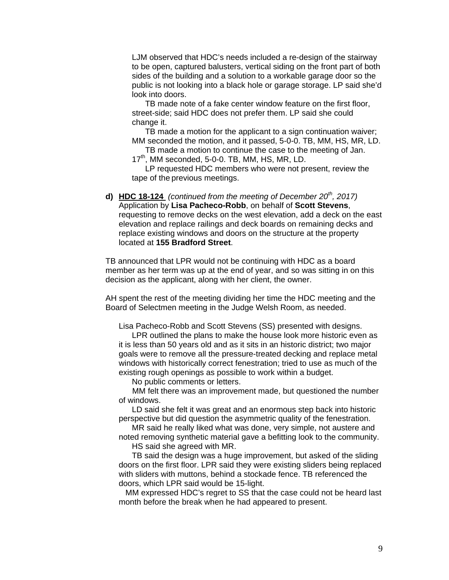LJM observed that HDC's needs included a re-design of the stairway to be open, captured balusters, vertical siding on the front part of both sides of the building and a solution to a workable garage door so the public is not looking into a black hole or garage storage. LP said she'd look into doors.

 TB made note of a fake center window feature on the first floor, street-side; said HDC does not prefer them. LP said she could change it.

 TB made a motion for the applicant to a sign continuation waiver; MM seconded the motion, and it passed, 5-0-0. TB, MM, HS, MR, LD.

 TB made a motion to continue the case to the meeting of Jan. 17<sup>th</sup>, MM seconded, 5-0-0. TB, MM, HS, MR, LD.

 LP requested HDC members who were not present, review the tape of the previous meetings.

**d) HDC 18-124** *(continued from the meeting of December 20th, 2017)*  Application by **Lisa Pacheco-Robb**, on behalf of **Scott Stevens**, requesting to remove decks on the west elevation, add a deck on the east elevation and replace railings and deck boards on remaining decks and replace existing windows and doors on the structure at the property located at **155 Bradford Street**.

TB announced that LPR would not be continuing with HDC as a board member as her term was up at the end of year, and so was sitting in on this decision as the applicant, along with her client, the owner.

AH spent the rest of the meeting dividing her time the HDC meeting and the Board of Selectmen meeting in the Judge Welsh Room, as needed.

Lisa Pacheco-Robb and Scott Stevens (SS) presented with designs.

 LPR outlined the plans to make the house look more historic even as it is less than 50 years old and as it sits in an historic district; two major goals were to remove all the pressure-treated decking and replace metal windows with historically correct fenestration; tried to use as much of the existing rough openings as possible to work within a budget.

No public comments or letters.

 MM felt there was an improvement made, but questioned the number of windows.

 LD said she felt it was great and an enormous step back into historic perspective but did question the asymmetric quality of the fenestration.

 MR said he really liked what was done, very simple, not austere and noted removing synthetic material gave a befitting look to the community.

HS said she agreed with MR.

 TB said the design was a huge improvement, but asked of the sliding doors on the first floor. LPR said they were existing sliders being replaced with sliders with muttons, behind a stockade fence. TB referenced the doors, which LPR said would be 15-light.

 MM expressed HDC's regret to SS that the case could not be heard last month before the break when he had appeared to present.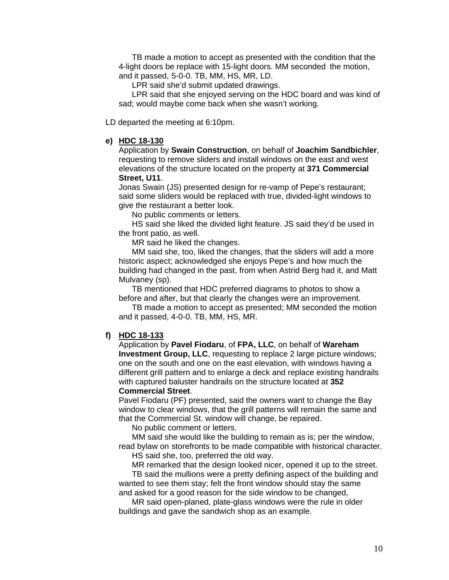TB made a motion to accept as presented with the condition that the 4-light doors be replace with 15-light doors. MM seconded the motion, and it passed, 5-0-0. TB, MM, HS, MR, LD.

LPR said she'd submit updated drawings.

 LPR said that she enjoyed serving on the HDC board and was kind of sad; would maybe come back when she wasn't working.

LD departed the meeting at 6:10pm.

#### **e) HDC 18-130**

 Application by **Swain Construction**, on behalf of **Joachim Sandbichler**, requesting to remove sliders and install windows on the east and west elevations of the structure located on the property at **371 Commercial Street, U11**.

 Jonas Swain (JS) presented design for re-vamp of Pepe's restaurant; said some sliders would be replaced with true, divided-light windows to give the restaurant a better look.

No public comments or letters.

 HS said she liked the divided light feature. JS said they'd be used in the front patio, as well.

MR said he liked the changes.

 MM said she, too, liked the changes, that the sliders will add a more historic aspect; acknowledged she enjoys Pepe's and how much the building had changed in the past, from when Astrid Berg had it, and Matt Mulvaney (sp).

 TB mentioned that HDC preferred diagrams to photos to show a before and after, but that clearly the changes were an improvement.

 TB made a motion to accept as presented; MM seconded the motion and it passed, 4-0-0. TB, MM, HS, MR.

## **f) HDC 18-133**

 Application by **Pavel Fiodaru**, of **FPA, LLC**, on behalf of **Wareham Investment Group, LLC**, requesting to replace 2 large picture windows; one on the south and one on the east elevation, with windows having a different grill pattern and to enlarge a deck and replace existing handrails with captured baluster handrails on the structure located at **352** 

## **Commercial Street**.

 Pavel Fiodaru (PF) presented, said the owners want to change the Bay window to clear windows, that the grill patterns will remain the same and that the Commercial St. window will change, be repaired.

No public comment or letters.

 MM said she would like the building to remain as is; per the window, read bylaw on storefronts to be made compatible with historical character.

HS said she, too, preferred the old way.

MR remarked that the design looked nicer, opened it up to the street.

 TB said the mullions were a pretty defining aspect of the building and wanted to see them stay; felt the front window should stay the same and asked for a good reason for the side window to be changed,

 MR said open-planed, plate-glass windows were the rule in older buildings and gave the sandwich shop as an example.